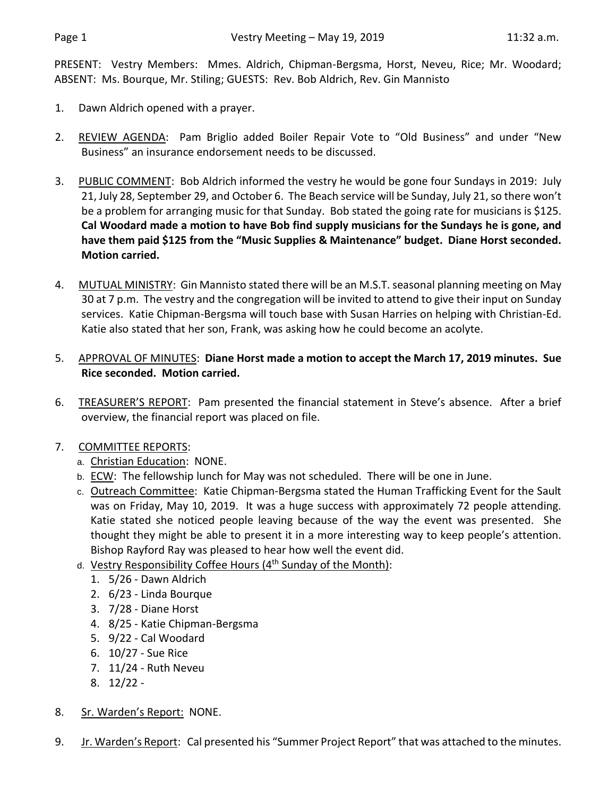PRESENT: Vestry Members: Mmes. Aldrich, Chipman-Bergsma, Horst, Neveu, Rice; Mr. Woodard; ABSENT: Ms. Bourque, Mr. Stiling; GUESTS: Rev. Bob Aldrich, Rev. Gin Mannisto

- 1. Dawn Aldrich opened with a prayer.
- 2. REVIEW AGENDA: Pam Briglio added Boiler Repair Vote to "Old Business" and under "New Business" an insurance endorsement needs to be discussed.
- 3. PUBLIC COMMENT: Bob Aldrich informed the vestry he would be gone four Sundays in 2019: July 21, July 28, September 29, and October 6. The Beach service will be Sunday, July 21, so there won't be a problem for arranging music for that Sunday. Bob stated the going rate for musicians is \$125. **Cal Woodard made a motion to have Bob find supply musicians for the Sundays he is gone, and have them paid \$125 from the "Music Supplies & Maintenance" budget. Diane Horst seconded. Motion carried.**
- 4. MUTUAL MINISTRY: Gin Mannisto stated there will be an M.S.T. seasonal planning meeting on May 30 at 7 p.m. The vestry and the congregation will be invited to attend to give their input on Sunday services. Katie Chipman-Bergsma will touch base with Susan Harries on helping with Christian-Ed. Katie also stated that her son, Frank, was asking how he could become an acolyte.
- 5. APPROVAL OF MINUTES: **Diane Horst made a motion to accept the March 17, 2019 minutes. Sue Rice seconded. Motion carried.**
- 6. TREASURER'S REPORT: Pam presented the financial statement in Steve's absence. After a brief overview, the financial report was placed on file.
- 7. COMMITTEE REPORTS:
	- a. Christian Education: NONE.
	- b. ECW: The fellowship lunch for May was not scheduled. There will be one in June.
	- c. Outreach Committee: Katie Chipman-Bergsma stated the Human Trafficking Event for the Sault was on Friday, May 10, 2019. It was a huge success with approximately 72 people attending. Katie stated she noticed people leaving because of the way the event was presented. She thought they might be able to present it in a more interesting way to keep people's attention. Bishop Rayford Ray was pleased to hear how well the event did.
	- d. Vestry Responsibility Coffee Hours  $(4<sup>th</sup>$  Sunday of the Month):
		- 1. 5/26 Dawn Aldrich
		- 2. 6/23 Linda Bourque
		- 3. 7/28 Diane Horst
		- 4. 8/25 Katie Chipman-Bergsma
		- 5. 9/22 Cal Woodard
		- 6. 10/27 Sue Rice
		- 7. 11/24 Ruth Neveu
		- 8. 12/22 -
- 8. Sr. Warden's Report: NONE.
- 9. Jr. Warden's Report: Cal presented his "Summer Project Report" that was attached to the minutes.